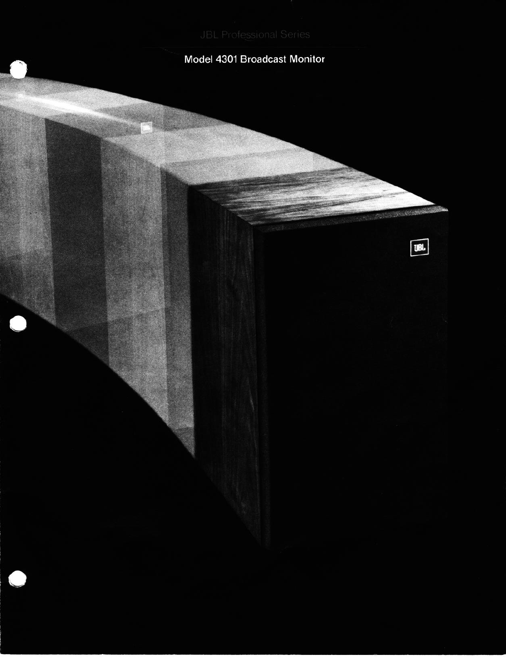# Model 4301 Broadcast Monitor

UBL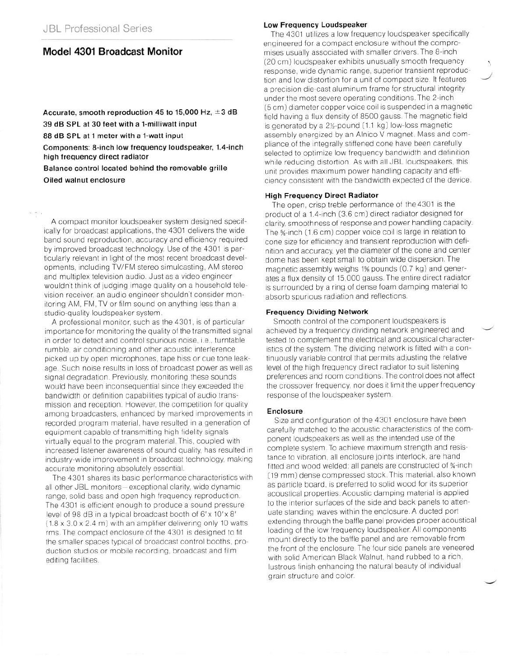## **Model 4301 Broadcast Monitor**

Accurate, smooth reproduction 45 to 15,000 Hz,  $\pm$ 3 dB **39 dB SPL at 30 feet with a l-milliwatt input 88 dB SPL at 1 meter with a l-watt input Components: 8-inch low frequency loudspeaker, 1.4-inch high frequency direct radiator Balance control located behind the removable grille Oiled walnut enclosure** 

A compact monitor loudspeaker system designed specifically for broadcast applications, the 4301 delivers the wide band sound reproduction, accuracy and efficiency required by improved broadcast technology. Use of the 4301 is particularly relevant in light of the most recent broadcast developments, including TV/FM stereo simulcasting, AM stereo and multiplex television audio. Just as a video engineer wouldn't think of judging image quality on a household television receiver, an audio engineer shouldn't consider monitoring AM, FM, TV or film sound on anything less than a studio-quality loudspeaker system

A professional monitor, such as the 4301, is of particular importance for monitoring the quality of the transmitted signal in order to detect and control spurious noise, i.e., turntable rumble, air conditioning and other acoustic interference picked up by open microphones, tape hiss or cue tone leakage Such noise results in loss of broadcast power as well as signal degradation. Previously, monitoring these sounds would have been inconsequential since they exceeded the bandwidth or definition capabilities typical of audio transmission and reception. However, the competition for quality among broadcasters, enhanced by marked improvements in recorded program material, have resulted in a generation of equipment capable of transmitting high fidelity signals virtually equal to the program material This, coupled with increased listener awareness of sound quality, has resulted in industry-wide improvement in broadcast technology, making accurate monitoring absolutely essential

The 4301 shares its basic performance characteristics with all other JBL monitors-exceptional clarity, wide dynamic range, solid bass and open high frequency reproduction The 4301 is efficient enough to produce a sound pressure level of 98 dB in a typical broadcast booth of 6'x 10'x 8'  $(1.8 \times 3.0 \times 2.4 \text{ m})$  with an amplifier delivering only 10 watts rms. The compact enclosure of the 4301 is designed to fit the smaller spaces typical of broadcast control booths, production studios or mobile recording, broadcast and film editing facilities.

#### **Low Frequency Loudspeaker**

The 4301 utilizes a low frequency loudspeaker specifically engineered for a compact enclosure without the compromises usually associated with smaller drivers. The 8-inch (20 cm) loudspeaker exhibits unusually smooth frequency response, wide dynamic range, superior transient reproduction and low distortion for a unit of compact size. It features a precision die-cast aluminum frame for structural integrity under the most severe operating conditions. The 2-inch (5 cm) diameter copper voice coil is suspended in a magnetic field having a flux density of 8500 gauss. The magnetic field is generated by a  $2\frac{1}{2}$ -pound  $(1.1 \text{ kg})$  low-loss magnetic assembly energized by an Alnico V magnet. Mass and compliance of the integrally stiffened cone have been carefully selected to optimize low frequency bandwidth and definition while reducing distortion. As with all JBL loudspeakers, this unit provides maximum power handling capacity and efficiency consistent with the bandwidth expected of the device.

#### **High Frequency Direct Radiator**

The open, crisp treble performance of the 4301 is the product of a 1.4.inch (3.6 cm) direct radiator designed for clarity, smoothness of response and power handling capacity The %-inch (1.6 cm) copper voice coil is large in relation to cone size for efficiency and transient reproduction with definition and accuracy, yet the diameter of the cone and center dome has been kept small to obtain wide dispersion. The magnetic assembly weighs 1% pounds (0.7 kg) and generates a flux density of 15,000 gauss. The entire direct radiator is surrounded by a ring of dense foam damping material to absorb spurious radiation and reflections.

## **Frequency Dividing Network**

Smooth control of the component loudspeakers is achieved by a frequency dividing network engineered and tested to complement the electrical and acoustical characteristics of the system. The dividing network is fitted with a continuously variable control that permits adjusting the relative level of the high frequency direct radiator to suit listening preferences and room conditions. The control does not affect the crossover frequency, nor does it limit the upper frequency response of the loudspeaker system

#### **Enclosure**

Size and configuration of the 4301 enclosure have been carefully matched to the acoustic characteristics of the component loudspeakers as well as the intended use of the complete system. To achieve maximum strength and resistance to vibration, all enclosure joints interlock, are hand fitted and wood welded: all panels are constructed of %-inch (19 mm) dense compressed stock. This material, also known as particle board, is preferred to solid wood for its superior acoustical properties. Acoustic damping material is applied to the interior surfaces of the side and back panels to attenuate standing waves within the enclosure. A ducted port extending through the baffle panel provides proper acoustical loading of the low frequency loudspeaker. All components mount directly to the baffle panel and are removable from the front of the enclosure. The four side panels are veneered with solid American Black Walnut, hand rubbed to a rich, lustrous finish enhancing the natural beauty of individual grain structure and color.